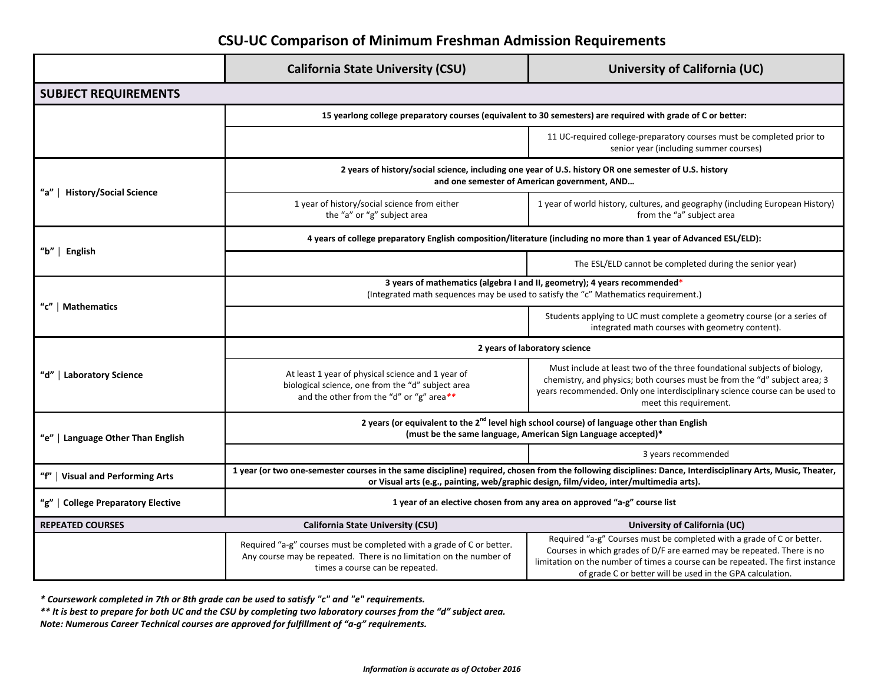## **CSU-UC Comparison of Minimum Freshman Admission Requirements**

|                                      | <b>California State University (CSU)</b>                                                                                                                                                                                                               | University of California (UC)                                                                                                                                                                                                                                                                  |  |
|--------------------------------------|--------------------------------------------------------------------------------------------------------------------------------------------------------------------------------------------------------------------------------------------------------|------------------------------------------------------------------------------------------------------------------------------------------------------------------------------------------------------------------------------------------------------------------------------------------------|--|
| <b>SUBJECT REQUIREMENTS</b>          |                                                                                                                                                                                                                                                        |                                                                                                                                                                                                                                                                                                |  |
|                                      | 15 yearlong college preparatory courses (equivalent to 30 semesters) are required with grade of C or better:                                                                                                                                           |                                                                                                                                                                                                                                                                                                |  |
|                                      |                                                                                                                                                                                                                                                        | 11 UC-required college-preparatory courses must be completed prior to<br>senior year (including summer courses)                                                                                                                                                                                |  |
| "a"<br><b>History/Social Science</b> | 2 years of history/social science, including one year of U.S. history OR one semester of U.S. history<br>and one semester of American government, AND                                                                                                  |                                                                                                                                                                                                                                                                                                |  |
|                                      | 1 year of history/social science from either<br>the "a" or "g" subject area                                                                                                                                                                            | 1 year of world history, cultures, and geography (including European History)<br>from the "a" subject area                                                                                                                                                                                     |  |
| "b"   English                        | 4 years of college preparatory English composition/literature (including no more than 1 year of Advanced ESL/ELD):                                                                                                                                     |                                                                                                                                                                                                                                                                                                |  |
|                                      |                                                                                                                                                                                                                                                        | The ESL/ELD cannot be completed during the senior year)                                                                                                                                                                                                                                        |  |
| "c"   Mathematics                    | 3 years of mathematics (algebra I and II, geometry); 4 years recommended*<br>(Integrated math sequences may be used to satisfy the "c" Mathematics requirement.)                                                                                       |                                                                                                                                                                                                                                                                                                |  |
|                                      |                                                                                                                                                                                                                                                        | Students applying to UC must complete a geometry course (or a series of<br>integrated math courses with geometry content).                                                                                                                                                                     |  |
| "d"   Laboratory Science             | 2 years of laboratory science                                                                                                                                                                                                                          |                                                                                                                                                                                                                                                                                                |  |
|                                      | At least 1 year of physical science and 1 year of<br>biological science, one from the "d" subject area<br>and the other from the "d" or "g" area**                                                                                                     | Must include at least two of the three foundational subjects of biology,<br>chemistry, and physics; both courses must be from the "d" subject area; 3<br>years recommended. Only one interdisciplinary science course can be used to<br>meet this requirement.                                 |  |
| "e"   Language Other Than English    | 2 years (or equivalent to the 2 <sup>nd</sup> level high school course) of language other than English<br>(must be the same language, American Sign Language accepted)*                                                                                |                                                                                                                                                                                                                                                                                                |  |
|                                      |                                                                                                                                                                                                                                                        | 3 years recommended                                                                                                                                                                                                                                                                            |  |
| "f"   Visual and Performing Arts     | 1 year (or two one-semester courses in the same discipline) required, chosen from the following disciplines: Dance, Interdisciplinary Arts, Music, Theater,<br>or Visual arts (e.g., painting, web/graphic design, film/video, inter/multimedia arts). |                                                                                                                                                                                                                                                                                                |  |
| "g"   College Preparatory Elective   | 1 year of an elective chosen from any area on approved "a-g" course list                                                                                                                                                                               |                                                                                                                                                                                                                                                                                                |  |
| <b>REPEATED COURSES</b>              | <b>California State University (CSU)</b>                                                                                                                                                                                                               | University of California (UC)                                                                                                                                                                                                                                                                  |  |
|                                      | Required "a-g" courses must be completed with a grade of C or better.<br>Any course may be repeated. There is no limitation on the number of<br>times a course can be repeated.                                                                        | Required "a-g" Courses must be completed with a grade of C or better.<br>Courses in which grades of D/F are earned may be repeated. There is no<br>limitation on the number of times a course can be repeated. The first instance<br>of grade C or better will be used in the GPA calculation. |  |

*\* Coursework completed in 7th or 8th grade can be used to satisfy "c" and "e" requirements.* 

*\*\* It is best to prepare for both UC and the CSU by completing two laboratory courses from the "d" subject area.*

*Note: Numerous Career Technical courses are approved for fulfillment of "a-g" requirements.*